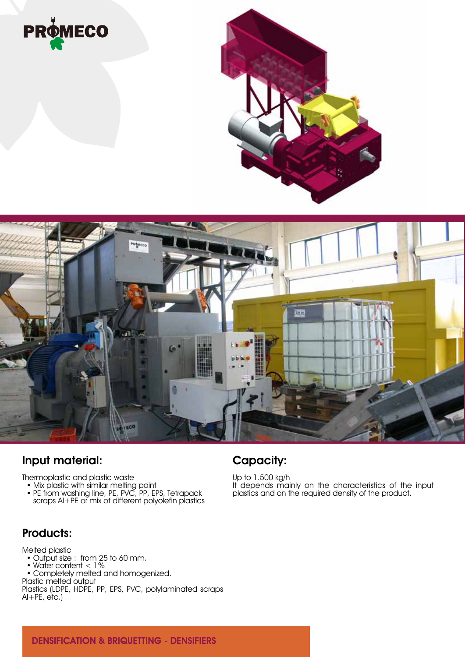





## Input material:

Thermoplastic and plastic waste

- Mix plastic with similar melting point
- PE from washing line, PE, PVC, PP, EPS, Tetrapack scraps Al+PE or mix of different polyolefin plastics

#### Products:

Melted plastic

- Output size : from 25 to 60 mm.
- Water content < 1%
- Completely melted and homogenized.
- Plastic melted output
- Plastics (LDPE, HDPE, PP, EPS, PVC, polylaminated scraps  $AI+PE$ ,  $etc.$ )

## Capacity:

Up to 1.500 kg/h It depends mainly on the characteristics of the input plastics and on the required density of the product.